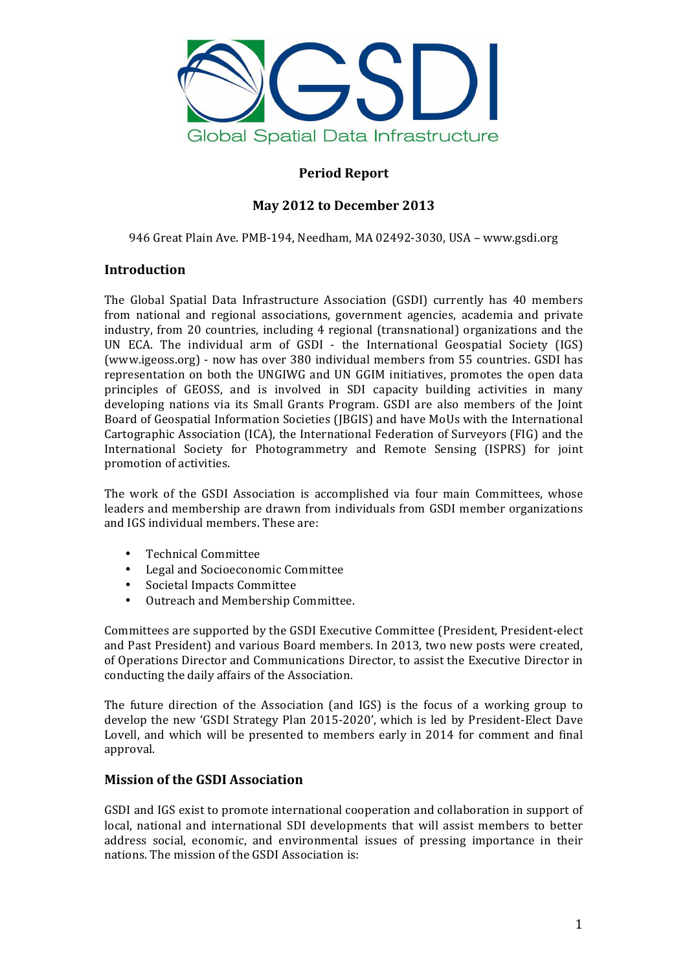

# **Period Report**

# **May 2012 to December 2013**

946 Great Plain Ave. PMB-194, Needham, MA 02492-3030, USA – www.gsdi.org

## **Introduction**

The Global Spatial Data Infrastructure Association (GSDI) currently has 40 members from national and regional associations, government agencies, academia and private industry, from 20 countries, including 4 regional (transnational) organizations and the UN ECA. The individual arm of GSDI - the International Geospatial Society (IGS) (www.igeoss.org) - now has over 380 individual members from 55 countries. GSDI has representation on both the UNGIWG and UN GGIM initiatives, promotes the open data principles of GEOSS, and is involved in SDI capacity building activities in many developing nations via its Small Grants Program. GSDI are also members of the Joint Board of Geospatial Information Societies (JBGIS) and have MoUs with the International Cartographic Association (ICA), the International Federation of Surveyors (FIG) and the International Society for Photogrammetry and Remote Sensing (ISPRS) for joint promotion of activities.

The work of the GSDI Association is accomplished via four main Committees, whose leaders and membership are drawn from individuals from GSDI member organizations and IGS individual members. These are:

- Technical Committee
- Legal and Socioeconomic Committee
- Societal Impacts Committee
- Outreach and Membership Committee.

Committees are supported by the GSDI Executive Committee (President, President-elect and Past President) and various Board members. In 2013, two new posts were created, of Operations Director and Communications Director, to assist the Executive Director in conducting the daily affairs of the Association.

The future direction of the Association (and  $IGS$ ) is the focus of a working group to develop the new 'GSDI Strategy Plan 2015-2020', which is led by President-Elect Dave Lovell, and which will be presented to members early in 2014 for comment and final approval.

# **Mission of the GSDI Association**

GSDI and IGS exist to promote international cooperation and collaboration in support of local, national and international SDI developments that will assist members to better address social, economic, and environmental issues of pressing importance in their nations. The mission of the GSDI Association is: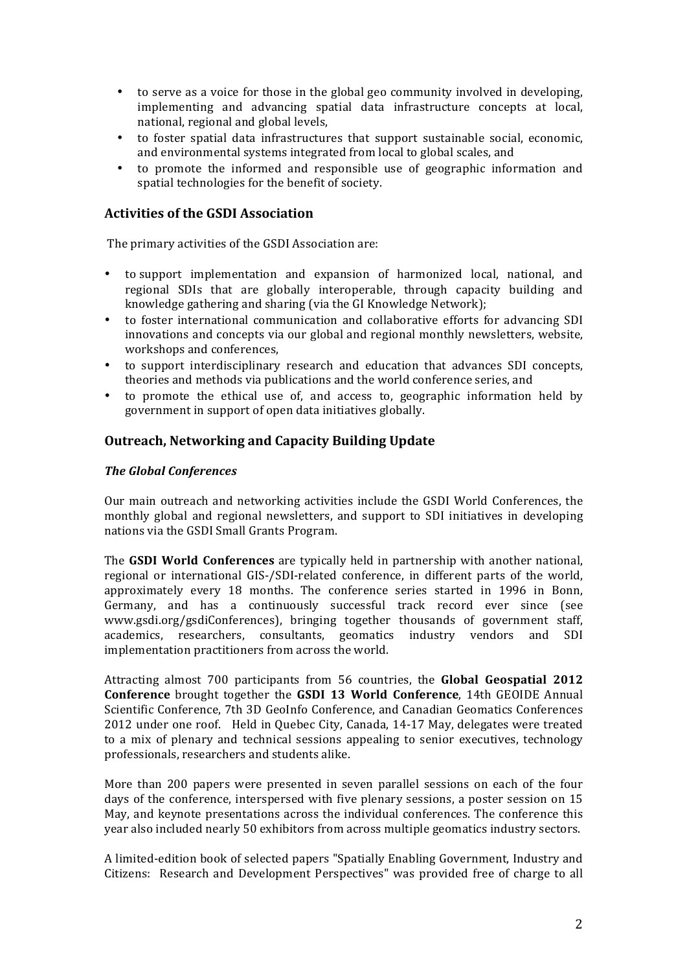- to serve as a voice for those in the global geo community involved in developing, implementing and advancing spatial data infrastructure concepts at local, national, regional and global levels.
- to foster spatial data infrastructures that support sustainable social, economic, and environmental systems integrated from local to global scales, and
- to promote the informed and responsible use of geographic information and spatial technologies for the benefit of society.

#### **Activities of the GSDI Association**

The primary activities of the GSDI Association are:

- to support implementation and expansion of harmonized local, national, and regional SDIs that are globally interoperable, through capacity building and knowledge gathering and sharing (via the GI Knowledge Network);
- to foster international communication and collaborative efforts for advancing SDI innovations and concepts via our global and regional monthly newsletters, website, workshops and conferences.
- to support interdisciplinary research and education that advances SDI concepts, theories and methods via publications and the world conference series, and
- to promote the ethical use of, and access to, geographic information held by government in support of open data initiatives globally.

#### **Outreach, Networking and Capacity Building Update**

#### *The Global Conferences*

Our main outreach and networking activities include the GSDI World Conferences, the monthly global and regional newsletters, and support to SDI initiatives in developing nations via the GSDI Small Grants Program.

The **GSDI World Conferences** are typically held in partnership with another national, regional or international GIS-/SDI-related conference, in different parts of the world, approximately every 18 months. The conference series started in 1996 in Bonn, Germany, and has a continuously successful track record ever since (see www.gsdi.org/gsdiConferences), bringing together thousands of government staff, academics, researchers, consultants, geomatics industry vendors and SDI implementation practitioners from across the world.

Attracting almost 700 participants from 56 countries, the **Global Geospatial 2012 Conference** brought together the **GSDI 13 World Conference**, 14th GEOIDE Annual Scientific Conference, 7th 3D GeoInfo Conference, and Canadian Geomatics Conferences 2012 under one roof. Held in Quebec City, Canada, 14-17 May, delegates were treated to a mix of plenary and technical sessions appealing to senior executives, technology professionals, researchers and students alike.

More than 200 papers were presented in seven parallel sessions on each of the four days of the conference, interspersed with five plenary sessions, a poster session on 15 May, and keynote presentations across the individual conferences. The conference this year also included nearly 50 exhibitors from across multiple geomatics industry sectors.

A limited-edition book of selected papers "Spatially Enabling Government, Industry and Citizens: Research and Development Perspectives" was provided free of charge to all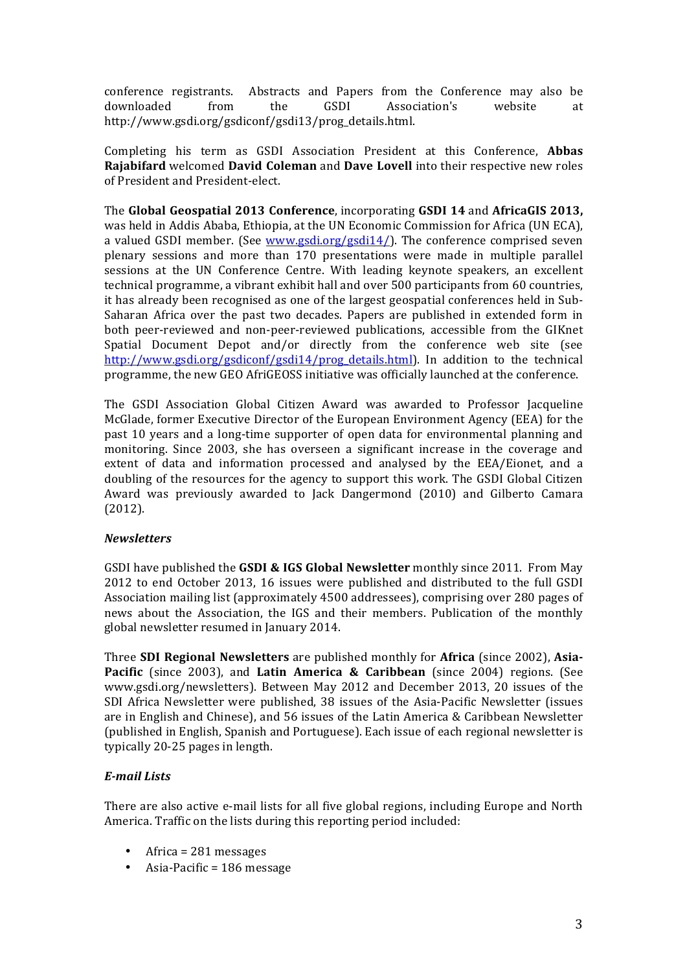conference registrants. Abstracts and Papers from the Conference may also be downloaded from the GSDI Association's website at http://www.gsdi.org/gsdiconf/gsdi13/prog\_details.html. 

Completing his term as GSDI Association President at this Conference. Abbas **Rajabifard** welcomed **David Coleman** and **Dave Lovell** into their respective new roles of President and President-elect.

The Global Geospatial 2013 Conference, incorporating GSDI 14 and AfricaGIS 2013, was held in Addis Ababa, Ethiopia, at the UN Economic Commission for Africa (UN ECA), a valued GSDI member. (See  $www.gsdi.org/gsdi14$ ). The conference comprised seven plenary sessions and more than 170 presentations were made in multiple parallel sessions at the UN Conference Centre. With leading keynote speakers, an excellent technical programme, a vibrant exhibit hall and over 500 participants from 60 countries, it has already been recognised as one of the largest geospatial conferences held in Sub-Saharan Africa over the past two decades. Papers are published in extended form in both peer-reviewed and non-peer-reviewed publications, accessible from the GIKnet Spatial Document Depot and/or directly from the conference web site (see http://www.gsdi.org/gsdiconf/gsdi14/prog\_details.html). In addition to the technical programme, the new GEO AfriGEOSS initiative was officially launched at the conference.

The GSDI Association Global Citizen Award was awarded to Professor Jacqueline McGlade, former Executive Director of the European Environment Agency (EEA) for the past 10 years and a long-time supporter of open data for environmental planning and monitoring. Since 2003, she has overseen a significant increase in the coverage and extent of data and information processed and analysed by the EEA/Eionet, and a doubling of the resources for the agency to support this work. The GSDI Global Citizen Award was previously awarded to Jack Dangermond (2010) and Gilberto Camara (2012).

### *Newsletters*

GSDI have published the **GSDI & IGS Global Newsletter** monthly since 2011. From May 2012 to end October 2013, 16 issues were published and distributed to the full GSDI Association mailing list (approximately 4500 addressees), comprising over 280 pages of news about the Association, the IGS and their members. Publication of the monthly global newsletter resumed in January 2014.

**Three SDI Regional Newsletters** are published monthly for **Africa** (since 2002), **Asia-Pacific** (since 2003), and Latin America & Caribbean (since 2004) regions. (See www.gsdi.org/newsletters). Between May 2012 and December 2013, 20 issues of the SDI Africa Newsletter were published, 38 issues of the Asia-Pacific Newsletter (issues are in English and Chinese), and 56 issues of the Latin America & Caribbean Newsletter (published in English, Spanish and Portuguese). Each issue of each regional newsletter is typically 20-25 pages in length.

### *E-mail Lists*

There are also active e-mail lists for all five global regions, including Europe and North America. Traffic on the lists during this reporting period included:

- Africa =  $281$  messages
- Asia-Pacific  $= 186$  message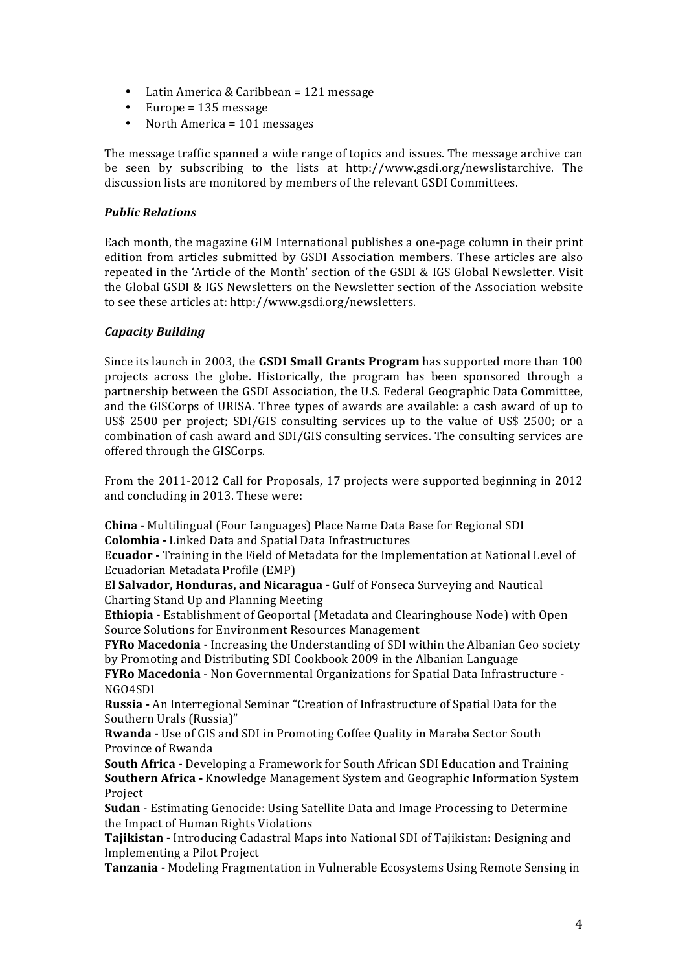- Latin America & Caribbean =  $121$  message
- Europe =  $135$  message
- North America = 101 messages

The message traffic spanned a wide range of topics and issues. The message archive can be seen by subscribing to the lists at http://www.gsdi.org/newslistarchive. The discussion lists are monitored by members of the relevant GSDI Committees.

## *Public Relations*

Each month, the magazine GIM International publishes a one-page column in their print edition from articles submitted by GSDI Association members. These articles are also repeated in the 'Article of the Month' section of the GSDI & IGS Global Newsletter. Visit the Global GSDI & IGS Newsletters on the Newsletter section of the Association website to see these articles at: http://www.gsdi.org/newsletters.

## *Capacity Building*

Since its launch in 2003, the **GSDI Small Grants Program** has supported more than 100 projects across the globe. Historically, the program has been sponsored through a partnership between the GSDI Association, the U.S. Federal Geographic Data Committee, and the GISCorps of URISA. Three types of awards are available: a cash award of up to US\$ 2500 per project; SDI/GIS consulting services up to the value of US\$ 2500; or a combination of cash award and SDI/GIS consulting services. The consulting services are offered through the GISCorps.

From the 2011-2012 Call for Proposals, 17 projects were supported beginning in 2012 and concluding in 2013. These were:

**China** - Multilingual (Four Languages) Place Name Data Base for Regional SDI **Colombia -** Linked Data and Spatial Data Infrastructures

**Ecuador** - Training in the Field of Metadata for the Implementation at National Level of Ecuadorian Metadata Profile (EMP)

**El Salvador, Honduras, and Nicaragua - Gulf of Fonseca Surveying and Nautical** Charting Stand Up and Planning Meeting

**Ethiopia** - Establishment of Geoportal (Metadata and Clearinghouse Node) with Open Source Solutions for Environment Resources Management

**FYRo Macedonia** - Increasing the Understanding of SDI within the Albanian Geo society by Promoting and Distributing SDI Cookbook 2009 in the Albanian Language

**FYRo Macedonia** - Non Governmental Organizations for Spatial Data Infrastructure -NGO4SDI

**Russia** - An Interregional Seminar "Creation of Infrastructure of Spatial Data for the Southern Urals (Russia)"

Rwanda - Use of GIS and SDI in Promoting Coffee Quality in Maraba Sector South Province of Rwanda 

**South Africa** - Developing a Framework for South African SDI Education and Training **Southern Africa -** Knowledge Management System and Geographic Information System Project

**Sudan** - Estimating Genocide: Using Satellite Data and Image Processing to Determine the Impact of Human Rights Violations

**Tajikistan** - Introducing Cadastral Maps into National SDI of Tajikistan: Designing and Implementing a Pilot Project

**Tanzania** - Modeling Fragmentation in Vulnerable Ecosystems Using Remote Sensing in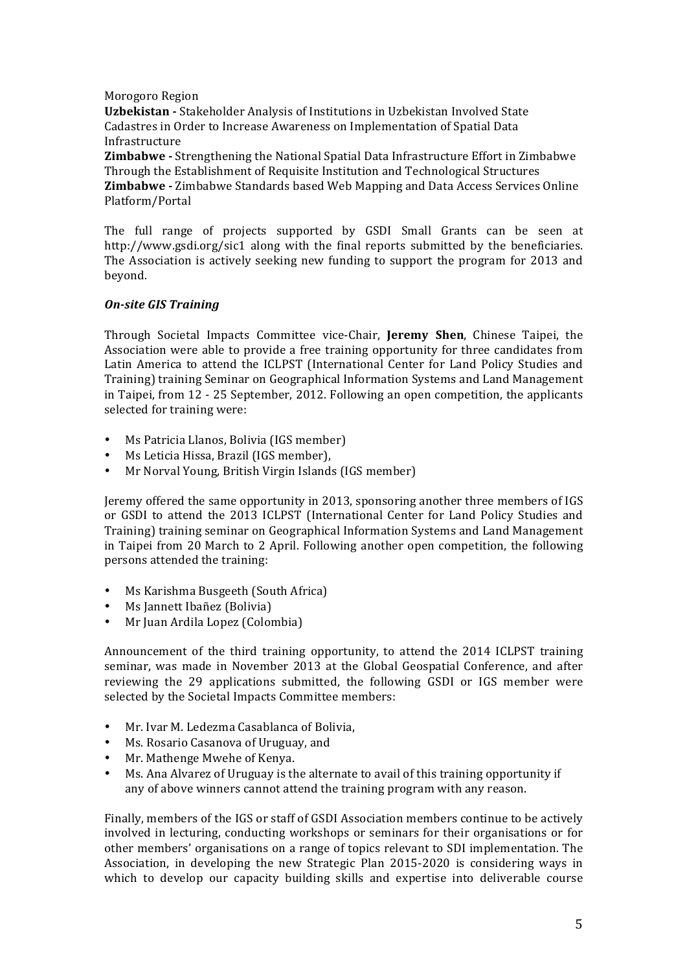#### Morogoro Region

**Uzbekistan** - Stakeholder Analysis of Institutions in Uzbekistan Involved State Cadastres in Order to Increase Awareness on Implementation of Spatial Data Infrastructure 

**Zimbabwe** - Strengthening the National Spatial Data Infrastructure Effort in Zimbabwe Through the Establishment of Requisite Institution and Technological Structures **Zimbabwe** - Zimbabwe Standards based Web Mapping and Data Access Services Online Platform/Portal 

The full range of projects supported by GSDI Small Grants can be seen at http://www.gsdi.org/sic1 along with the final reports submitted by the beneficiaries. The Association is actively seeking new funding to support the program for 2013 and beyond.

### *On-site GIS Training*

Through Societal Impacts Committee vice-Chair, **Jeremy Shen**, Chinese Taipei, the Association were able to provide a free training opportunity for three candidates from Latin America to attend the ICLPST (International Center for Land Policy Studies and Training) training Seminar on Geographical Information Systems and Land Management in Taipei, from 12 - 25 September, 2012. Following an open competition, the applicants selected for training were:

- Ms Patricia Llanos, Bolivia (IGS member)
- Ms Leticia Hissa, Brazil (IGS member),
- Mr Norval Young, British Virgin Islands (IGS member)

Jeremy offered the same opportunity in 2013, sponsoring another three members of IGS or GSDI to attend the 2013 ICLPST (International Center for Land Policy Studies and Training) training seminar on Geographical Information Systems and Land Management in Taipei from 20 March to 2 April. Following another open competition, the following persons attended the training:

- Ms Karishma Busgeeth (South Africa)
- Ms Jannett Ibañez (Bolivia)
- Mr Juan Ardila Lopez (Colombia)

Announcement of the third training opportunity, to attend the 2014 ICLPST training seminar, was made in November 2013 at the Global Geospatial Conference, and after reviewing the 29 applications submitted, the following GSDI or IGS member were selected by the Societal Impacts Committee members:

- Mr. Ivar M. Ledezma Casablanca of Bolivia,
- Ms. Rosario Casanova of Uruguay, and
- Mr. Mathenge Mwehe of Kenya.
- Ms. Ana Alvarez of Uruguay is the alternate to avail of this training opportunity if any of above winners cannot attend the training program with any reason.

Finally, members of the IGS or staff of GSDI Association members continue to be actively involved in lecturing, conducting workshops or seminars for their organisations or for other members' organisations on a range of topics relevant to SDI implementation. The Association, in developing the new Strategic Plan 2015-2020 is considering ways in which to develop our capacity building skills and expertise into deliverable course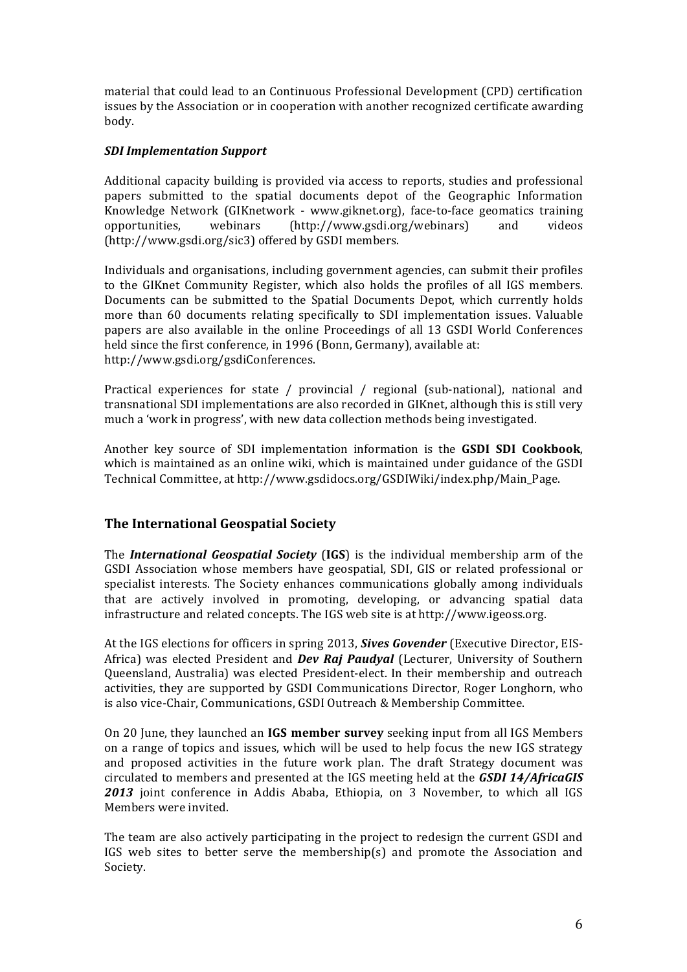material that could lead to an Continuous Professional Development (CPD) certification issues by the Association or in cooperation with another recognized certificate awarding body.

### *SDI Implementation Support*

Additional capacity building is provided via access to reports, studies and professional papers submitted to the spatial documents depot of the Geographic Information Knowledge Network (GIKnetwork - www.giknet.org), face-to-face geomatics training opportunities, webinars (http://www.gsdi.org/webinars) and videos (http://www.gsdi.org/sic3) offered by GSDI members.

Individuals and organisations, including government agencies, can submit their profiles to the GIKnet Community Register, which also holds the profiles of all IGS members. Documents can be submitted to the Spatial Documents Depot, which currently holds more than 60 documents relating specifically to SDI implementation issues. Valuable papers are also available in the online Proceedings of all 13 GSDI World Conferences held since the first conference, in 1996 (Bonn, Germany), available at: http://www.gsdi.org/gsdiConferences.

Practical experiences for state / provincial / regional (sub-national), national and transnational SDI implementations are also recorded in GIKnet, although this is still very much a 'work in progress', with new data collection methods being investigated.

Another key source of SDI implementation information is the **GSDI SDI Cookbook**, which is maintained as an online wiki, which is maintained under guidance of the GSDI Technical Committee, at http://www.gsdidocs.org/GSDIWiki/index.php/Main\_Page.

# **The International Geospatial Society**

The *International Geospatial Society* (IGS) is the individual membership arm of the GSDI Association whose members have geospatial, SDI, GIS or related professional or specialist interests. The Society enhances communications globally among individuals that are actively involved in promoting, developing, or advancing spatial data infrastructure and related concepts. The IGS web site is at http://www.igeoss.org.

At the IGS elections for officers in spring 2013, *Sives Govender* (Executive Director, EIS-Africa) was elected President and *Dev Raj Paudyal* (Lecturer, University of Southern Queensland, Australia) was elected President-elect. In their membership and outreach activities, they are supported by GSDI Communications Director, Roger Longhorn, who is also vice-Chair, Communications, GSDI Outreach & Membership Committee.

On 20 June, they launched an **IGS member survey** seeking input from all IGS Members on a range of topics and issues, which will be used to help focus the new IGS strategy and proposed activities in the future work plan. The draft Strategy document was circulated to members and presented at the IGS meeting held at the **GSDI 14/AfricaGIS** 2013 joint conference in Addis Ababa, Ethiopia, on 3 November, to which all IGS Members were invited.

The team are also actively participating in the project to redesign the current GSDI and IGS web sites to better serve the membership(s) and promote the Association and Society.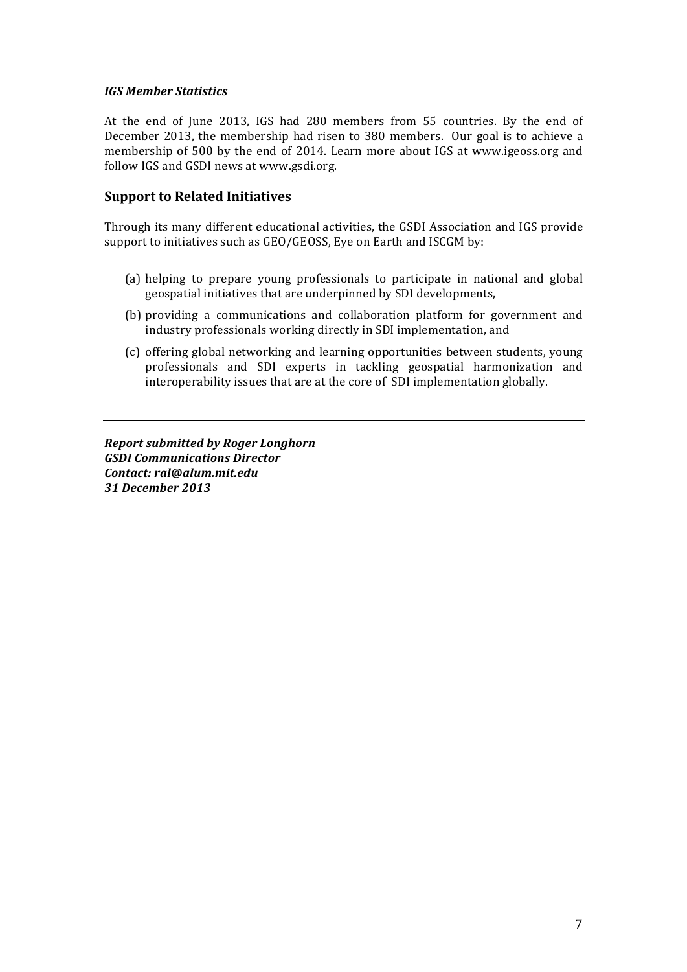#### *IGS Member Statistics*

At the end of June 2013, IGS had 280 members from 55 countries. By the end of December 2013, the membership had risen to 380 members. Our goal is to achieve a membership of 500 by the end of 2014. Learn more about IGS at www.igeoss.org and follow IGS and GSDI news at www.gsdi.org.

## **Support to Related Initiatives**

Through its many different educational activities, the GSDI Association and IGS provide support to initiatives such as GEO/GEOSS, Eye on Earth and ISCGM by:

- (a) helping to prepare young professionals to participate in national and global geospatial initiatives that are underpinned by SDI developments,
- (b) providing a communications and collaboration platform for government and industry professionals working directly in SDI implementation, and
- (c) offering global networking and learning opportunities between students, young professionals and SDI experts in tackling geospatial harmonization and interoperability issues that are at the core of SDI implementation globally.

*Report submitted by Roger Longhorn GSDI Communications Director Contact: ral@alum.mit.edu 31 December 2013*